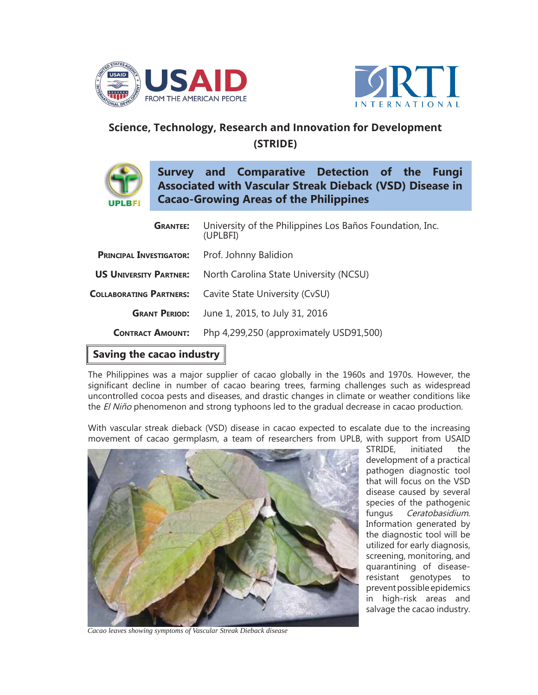



## **Science, Technology, Research and Innovation for Development (STRIDE)**



**Survey and Comparative Detection of the Fungi Associated with Vascular Streak Dieback (VSD) Disease in Cacao-Growing Areas of the Philippines**

| <b>GRANTEE:</b>                                      | University of the Philippines Los Baños Foundation, Inc.<br>(UPLBFI) |
|------------------------------------------------------|----------------------------------------------------------------------|
| <b>PRINCIPAL INVESTIGATOR:</b> Prof. Johnny Balidion |                                                                      |
| <b>US UNIVERSITY PARTNER:</b>                        | North Carolina State University (NCSU)                               |
|                                                      | <b>COLLABORATING PARTNERS:</b> Cavite State University (CvSU)        |
| <b>GRANT PERIOD:</b>                                 | June 1, 2015, to July 31, 2016                                       |
| <b>CONTRACT AMOUNT:</b>                              | Php 4,299,250 (approximately USD91,500)                              |

## **Saving the cacao industry**

The Philippines was a major supplier of cacao globally in the 1960s and 1970s. However, the significant decline in number of cacao bearing trees, farming challenges such as widespread uncontrolled cocoa pests and diseases, and drastic changes in climate or weather conditions like the El Niño phenomenon and strong typhoons led to the gradual decrease in cacao production.

With vascular streak dieback (VSD) disease in cacao expected to escalate due to the increasing movement of cacao germplasm, a team of researchers from UPLB, with support from USAID



STRIDE, initiated the development of a practical pathogen diagnostic tool that will focus on the VSD disease caused by several species of the pathogenic fungus Ceratobasidium. Information generated by the diagnostic tool will be utilized for early diagnosis, screening, monitoring, and quarantining of diseaseresistant genotypes to prevent possible epidemics in high-risk areas and salvage the cacao industry.

*Cacao leaves showing symptoms of Vascular Streak Dieback disease*